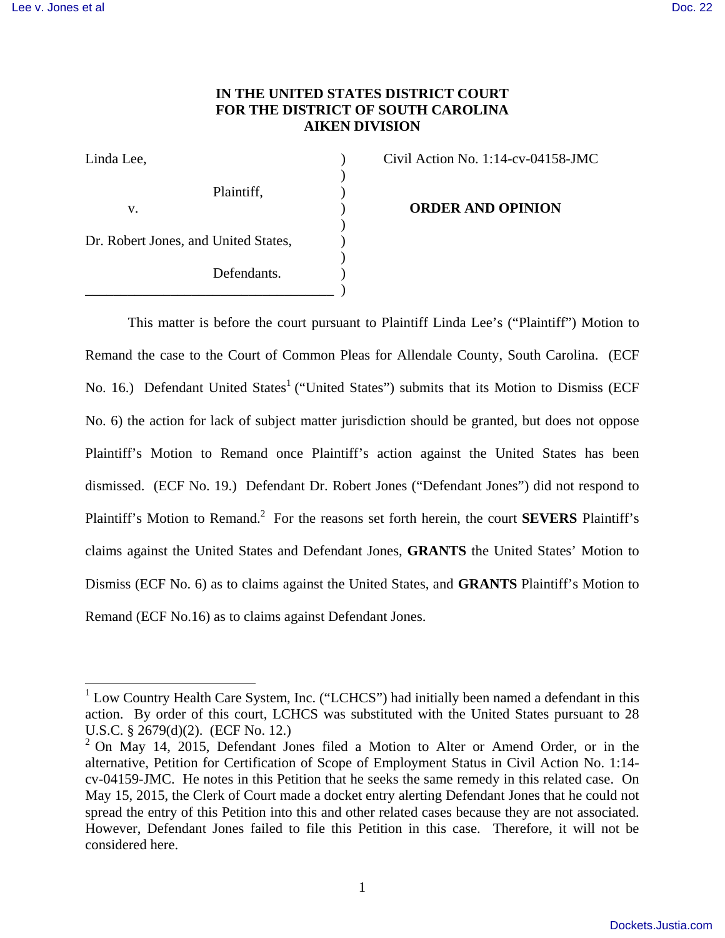# **IN THE UNITED STATES DISTRICT COURT FOR THE DISTRICT OF SOUTH CAROLINA AIKEN DIVISION**

| Linda Lee,                                          |  |
|-----------------------------------------------------|--|
| Plaintiff,                                          |  |
| V.                                                  |  |
| Dr. Robert Jones, and United States,<br>Defendants. |  |
|                                                     |  |

 $\text{Civil Action No. } 1:14\text{-cv-}04158\text{-JMC}$ 

**ORDER AND OPINION** 

 This matter is before the court pursuant to Plaintiff Linda Lee's ("Plaintiff") Motion to Remand the case to the Court of Common Pleas for Allendale County, South Carolina. (ECF No. 16.) Defendant United States<sup>1</sup> ("United States") submits that its Motion to Dismiss (ECF No. 6) the action for lack of subject matter jurisdiction should be granted, but does not oppose Plaintiff's Motion to Remand once Plaintiff's action against the United States has been dismissed. (ECF No. 19.) Defendant Dr. Robert Jones ("Defendant Jones") did not respond to Plaintiff's Motion to Remand.<sup>2</sup> For the reasons set forth herein, the court **SEVERS** Plaintiff's claims against the United States and Defendant Jones, **GRANTS** the United States' Motion to Dismiss (ECF No. 6) as to claims against the United States, and **GRANTS** Plaintiff's Motion to Remand (ECF No.16) as to claims against Defendant Jones.

<sup>&</sup>lt;sup>1</sup> Low Country Health Care System, Inc. ("LCHCS") had initially been named a defendant in this action. By order of this court, LCHCS was substituted with the United States pursuant to 28 U.S.C. § 2679(d)(2). (ECF No. 12.)

 $2$  On May 14, 2015, Defendant Jones filed a Motion to Alter or Amend Order, or in the alternative, Petition for Certification of Scope of Employment Status in Civil Action No. 1:14 cv-04159-JMC. He notes in this Petition that he seeks the same remedy in this related case. On May 15, 2015, the Clerk of Court made a docket entry alerting Defendant Jones that he could not spread the entry of this Petition into this and other related cases because they are not associated. However, Defendant Jones failed to file this Petition in this case. Therefore, it will not be considered here.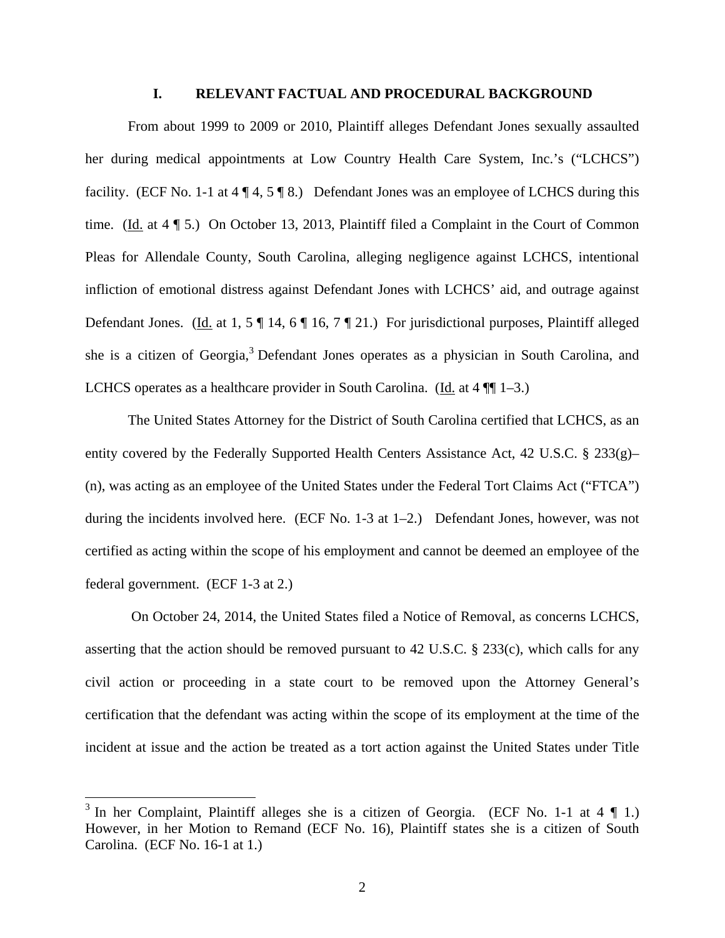# **I. RELEVANT FACTUAL AND PROCEDURAL BACKGROUND**

From about 1999 to 2009 or 2010, Plaintiff alleges Defendant Jones sexually assaulted her during medical appointments at Low Country Health Care System, Inc.'s ("LCHCS") facility. (ECF No. 1-1 at 4  $\P$  4, 5  $\P$  8.) Defendant Jones was an employee of LCHCS during this time. (Id. at 4 ¶ 5.) On October 13, 2013, Plaintiff filed a Complaint in the Court of Common Pleas for Allendale County, South Carolina, alleging negligence against LCHCS, intentional infliction of emotional distress against Defendant Jones with LCHCS' aid, and outrage against Defendant Jones. (Id. at 1, 5 ¶ 14, 6 ¶ 16, 7 ¶ 21.) For jurisdictional purposes, Plaintiff alleged she is a citizen of Georgia,<sup>3</sup> Defendant Jones operates as a physician in South Carolina, and LCHCS operates as a healthcare provider in South Carolina. (Id. at  $4 \sqrt{\frac{1}{2}}$  1–3.)

 The United States Attorney for the District of South Carolina certified that LCHCS, as an entity covered by the Federally Supported Health Centers Assistance Act, 42 U.S.C.  $\S$  233(g)– (n), was acting as an employee of the United States under the Federal Tort Claims Act ("FTCA") during the incidents involved here. (ECF No. 1-3 at 1–2.) Defendant Jones, however, was not certified as acting within the scope of his employment and cannot be deemed an employee of the federal government. (ECF 1-3 at 2.)

 On October 24, 2014, the United States filed a Notice of Removal, as concerns LCHCS, asserting that the action should be removed pursuant to 42 U.S.C. § 233(c), which calls for any civil action or proceeding in a state court to be removed upon the Attorney General's certification that the defendant was acting within the scope of its employment at the time of the incident at issue and the action be treated as a tort action against the United States under Title

<sup>&</sup>lt;sup>3</sup> In her Complaint, Plaintiff alleges she is a citizen of Georgia. (ECF No. 1-1 at 4 ¶ 1.) However, in her Motion to Remand (ECF No. 16), Plaintiff states she is a citizen of South Carolina. (ECF No. 16-1 at 1.)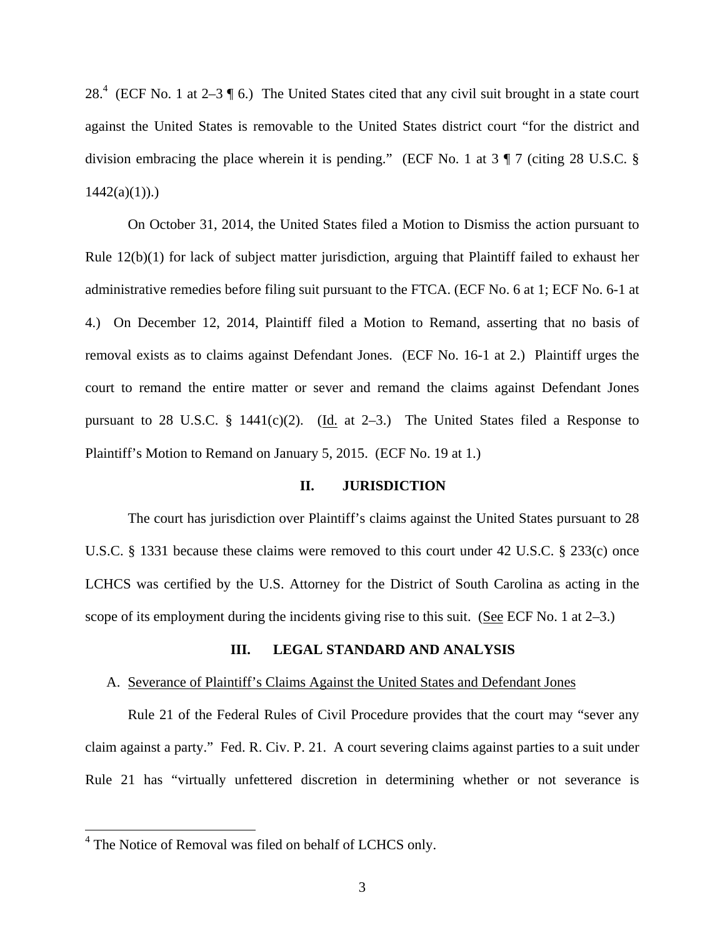28.<sup>4</sup> (ECF No. 1 at 2–3  $\parallel$  6.) The United States cited that any civil suit brought in a state court against the United States is removable to the United States district court "for the district and division embracing the place wherein it is pending." (ECF No. 1 at 3 ¶ 7 (citing 28 U.S.C. §  $1442(a)(1)$ .

On October 31, 2014, the United States filed a Motion to Dismiss the action pursuant to Rule 12(b)(1) for lack of subject matter jurisdiction, arguing that Plaintiff failed to exhaust her administrative remedies before filing suit pursuant to the FTCA. (ECF No. 6 at 1; ECF No. 6-1 at 4.) On December 12, 2014, Plaintiff filed a Motion to Remand, asserting that no basis of removal exists as to claims against Defendant Jones. (ECF No. 16-1 at 2.) Plaintiff urges the court to remand the entire matter or sever and remand the claims against Defendant Jones pursuant to 28 U.S.C. § 1441(c)(2). (Id. at 2-3.) The United States filed a Response to Plaintiff's Motion to Remand on January 5, 2015. (ECF No. 19 at 1.)

## **II. JURISDICTION**

The court has jurisdiction over Plaintiff's claims against the United States pursuant to 28 U.S.C. § 1331 because these claims were removed to this court under 42 U.S.C. § 233(c) once LCHCS was certified by the U.S. Attorney for the District of South Carolina as acting in the scope of its employment during the incidents giving rise to this suit. (See ECF No. 1 at 2–3.)

## **III. LEGAL STANDARD AND ANALYSIS**

#### A. Severance of Plaintiff's Claims Against the United States and Defendant Jones

 Rule 21 of the Federal Rules of Civil Procedure provides that the court may "sever any claim against a party." Fed. R. Civ. P. 21. A court severing claims against parties to a suit under Rule 21 has "virtually unfettered discretion in determining whether or not severance is

<sup>&</sup>lt;sup>4</sup> The Notice of Removal was filed on behalf of LCHCS only.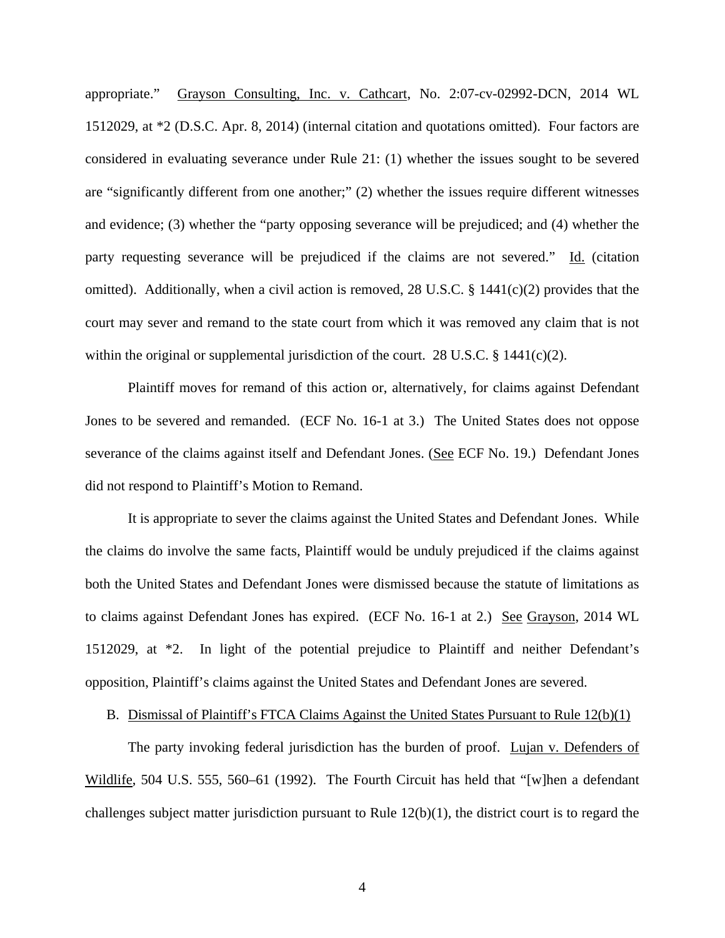appropriate." Grayson Consulting, Inc. v. Cathcart, No. 2:07-cv-02992-DCN, 2014 WL 1512029, at \*2 (D.S.C. Apr. 8, 2014) (internal citation and quotations omitted). Four factors are considered in evaluating severance under Rule 21: (1) whether the issues sought to be severed are "significantly different from one another;" (2) whether the issues require different witnesses and evidence; (3) whether the "party opposing severance will be prejudiced; and (4) whether the party requesting severance will be prejudiced if the claims are not severed." Id. (citation omitted). Additionally, when a civil action is removed, 28 U.S.C. § 1441(c)(2) provides that the court may sever and remand to the state court from which it was removed any claim that is not within the original or supplemental jurisdiction of the court. 28 U.S.C. § 1441(c)(2).

Plaintiff moves for remand of this action or, alternatively, for claims against Defendant Jones to be severed and remanded. (ECF No. 16-1 at 3.) The United States does not oppose severance of the claims against itself and Defendant Jones. (See ECF No. 19.) Defendant Jones did not respond to Plaintiff's Motion to Remand.

It is appropriate to sever the claims against the United States and Defendant Jones. While the claims do involve the same facts, Plaintiff would be unduly prejudiced if the claims against both the United States and Defendant Jones were dismissed because the statute of limitations as to claims against Defendant Jones has expired. (ECF No. 16-1 at 2.) See Grayson, 2014 WL 1512029, at \*2. In light of the potential prejudice to Plaintiff and neither Defendant's opposition, Plaintiff's claims against the United States and Defendant Jones are severed.

B. Dismissal of Plaintiff's FTCA Claims Against the United States Pursuant to Rule 12(b)(1)

The party invoking federal jurisdiction has the burden of proof. Lujan v. Defenders of Wildlife, 504 U.S. 555, 560–61 (1992). The Fourth Circuit has held that "[w]hen a defendant challenges subject matter jurisdiction pursuant to Rule  $12(b)(1)$ , the district court is to regard the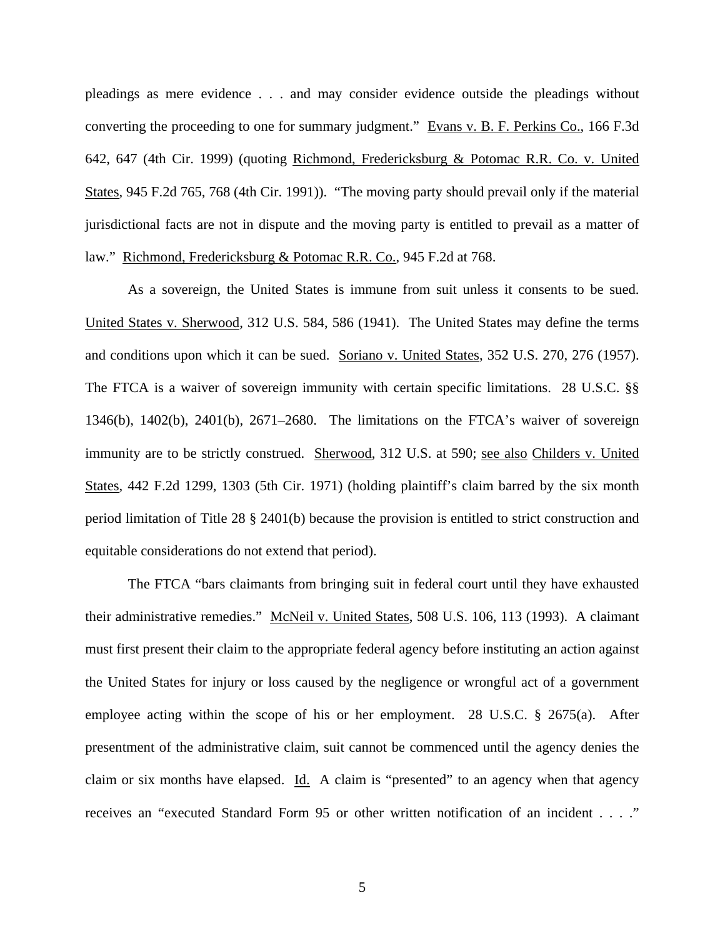pleadings as mere evidence . . . and may consider evidence outside the pleadings without converting the proceeding to one for summary judgment." Evans v. B. F. Perkins Co., 166 F.3d 642, 647 (4th Cir. 1999) (quoting Richmond, Fredericksburg & Potomac R.R. Co. v. United States, 945 F.2d 765, 768 (4th Cir. 1991)). "The moving party should prevail only if the material jurisdictional facts are not in dispute and the moving party is entitled to prevail as a matter of law." Richmond, Fredericksburg & Potomac R.R. Co., 945 F.2d at 768.

As a sovereign, the United States is immune from suit unless it consents to be sued. United States v. Sherwood, 312 U.S. 584, 586 (1941). The United States may define the terms and conditions upon which it can be sued. Soriano v. United States, 352 U.S. 270, 276 (1957). The FTCA is a waiver of sovereign immunity with certain specific limitations. 28 U.S.C. §§ 1346(b), 1402(b), 2401(b), 2671–2680. The limitations on the FTCA's waiver of sovereign immunity are to be strictly construed. Sherwood, 312 U.S. at 590; see also Childers v. United States, 442 F.2d 1299, 1303 (5th Cir. 1971) (holding plaintiff's claim barred by the six month period limitation of Title 28 § 2401(b) because the provision is entitled to strict construction and equitable considerations do not extend that period).

 The FTCA "bars claimants from bringing suit in federal court until they have exhausted their administrative remedies." McNeil v. United States, 508 U.S. 106, 113 (1993). A claimant must first present their claim to the appropriate federal agency before instituting an action against the United States for injury or loss caused by the negligence or wrongful act of a government employee acting within the scope of his or her employment. 28 U.S.C. § 2675(a). After presentment of the administrative claim, suit cannot be commenced until the agency denies the claim or six months have elapsed. Id. A claim is "presented" to an agency when that agency receives an "executed Standard Form 95 or other written notification of an incident . . . ."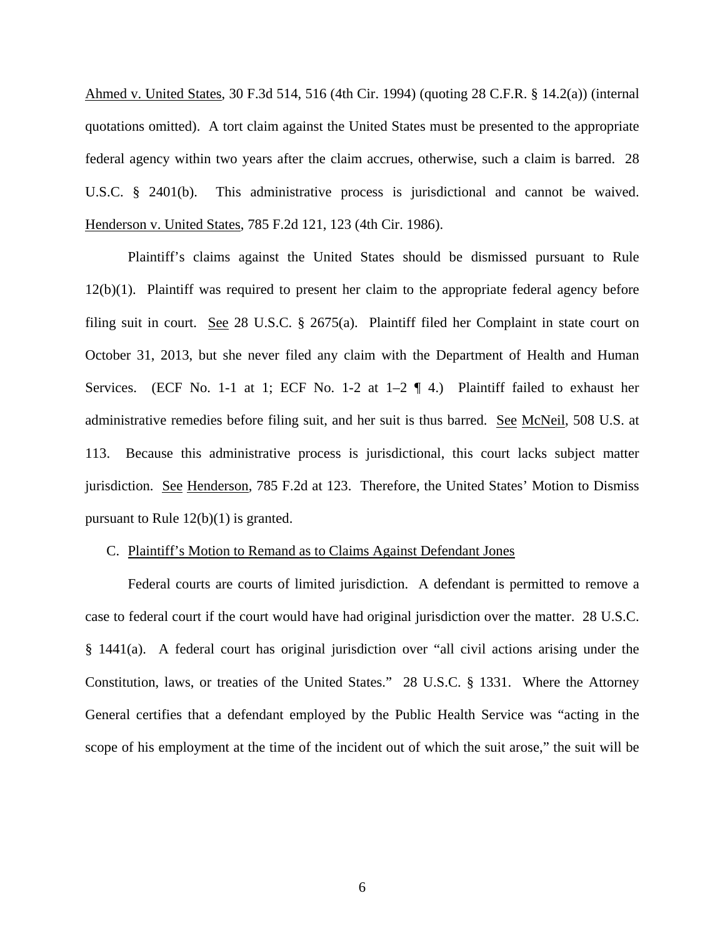Ahmed v. United States, 30 F.3d 514, 516 (4th Cir. 1994) (quoting 28 C.F.R. § 14.2(a)) (internal quotations omitted). A tort claim against the United States must be presented to the appropriate federal agency within two years after the claim accrues, otherwise, such a claim is barred. 28 U.S.C. § 2401(b). This administrative process is jurisdictional and cannot be waived. Henderson v. United States, 785 F.2d 121, 123 (4th Cir. 1986).

Plaintiff's claims against the United States should be dismissed pursuant to Rule 12(b)(1). Plaintiff was required to present her claim to the appropriate federal agency before filing suit in court. See 28 U.S.C. § 2675(a). Plaintiff filed her Complaint in state court on October 31, 2013, but she never filed any claim with the Department of Health and Human Services. (ECF No. 1-1 at 1; ECF No. 1-2 at  $1-2 \nvert 4$ .) Plaintiff failed to exhaust her administrative remedies before filing suit, and her suit is thus barred. See McNeil, 508 U.S. at 113. Because this administrative process is jurisdictional, this court lacks subject matter jurisdiction. See Henderson, 785 F.2d at 123. Therefore, the United States' Motion to Dismiss pursuant to Rule 12(b)(1) is granted.

#### C. Plaintiff's Motion to Remand as to Claims Against Defendant Jones

Federal courts are courts of limited jurisdiction. A defendant is permitted to remove a case to federal court if the court would have had original jurisdiction over the matter. 28 U.S.C. § 1441(a). A federal court has original jurisdiction over "all civil actions arising under the Constitution, laws, or treaties of the United States." 28 U.S.C. § 1331. Where the Attorney General certifies that a defendant employed by the Public Health Service was "acting in the scope of his employment at the time of the incident out of which the suit arose," the suit will be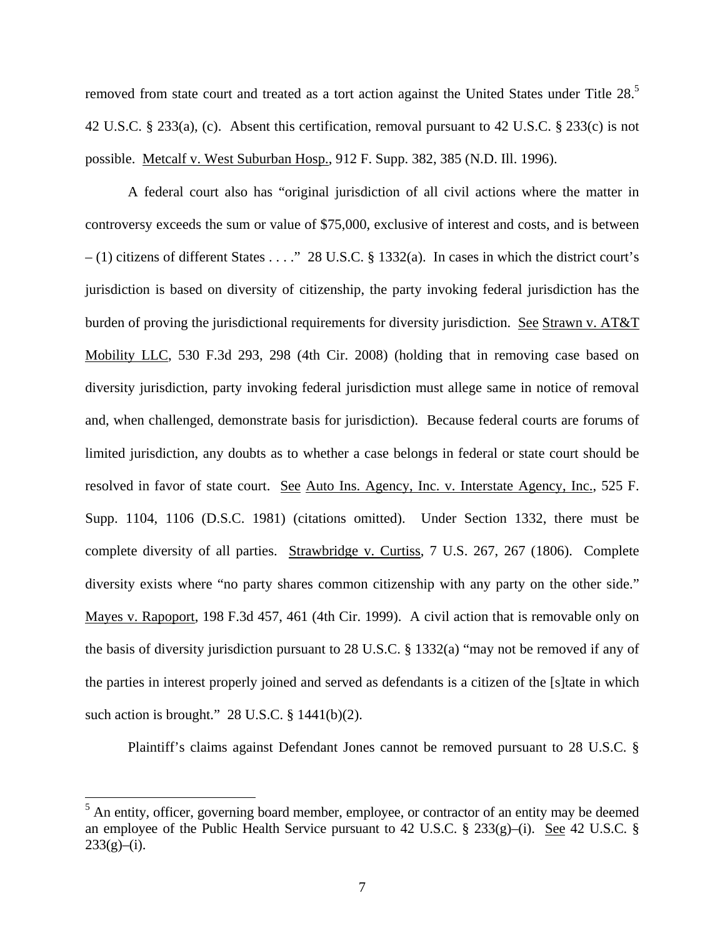removed from state court and treated as a tort action against the United States under Title 28.<sup>5</sup> 42 U.S.C. § 233(a), (c). Absent this certification, removal pursuant to 42 U.S.C. § 233(c) is not possible. Metcalf v. West Suburban Hosp., 912 F. Supp. 382, 385 (N.D. Ill. 1996).

A federal court also has "original jurisdiction of all civil actions where the matter in controversy exceeds the sum or value of \$75,000, exclusive of interest and costs, and is between  $- (1)$  citizens of different States . . . ." 28 U.S.C. § 1332(a). In cases in which the district court's jurisdiction is based on diversity of citizenship, the party invoking federal jurisdiction has the burden of proving the jurisdictional requirements for diversity jurisdiction. See Strawn v. AT&T Mobility LLC, 530 F.3d 293, 298 (4th Cir. 2008) (holding that in removing case based on diversity jurisdiction, party invoking federal jurisdiction must allege same in notice of removal and, when challenged, demonstrate basis for jurisdiction). Because federal courts are forums of limited jurisdiction, any doubts as to whether a case belongs in federal or state court should be resolved in favor of state court. See Auto Ins. Agency, Inc. v. Interstate Agency, Inc., 525 F. Supp. 1104, 1106 (D.S.C. 1981) (citations omitted). Under Section 1332, there must be complete diversity of all parties. Strawbridge v. Curtiss, 7 U.S. 267, 267 (1806). Complete diversity exists where "no party shares common citizenship with any party on the other side." Mayes v. Rapoport, 198 F.3d 457, 461 (4th Cir. 1999). A civil action that is removable only on the basis of diversity jurisdiction pursuant to 28 U.S.C. § 1332(a) "may not be removed if any of the parties in interest properly joined and served as defendants is a citizen of the [s]tate in which such action is brought."  $28$  U.S.C.  $\S$  1441(b)(2).

Plaintiff's claims against Defendant Jones cannot be removed pursuant to 28 U.S.C. §

<sup>&</sup>lt;sup>5</sup> An entity, officer, governing board member, employee, or contractor of an entity may be deemed an employee of the Public Health Service pursuant to 42 U.S.C.  $\S$  233(g)–(i). See 42 U.S.C.  $\S$  $233(g)$ –(i).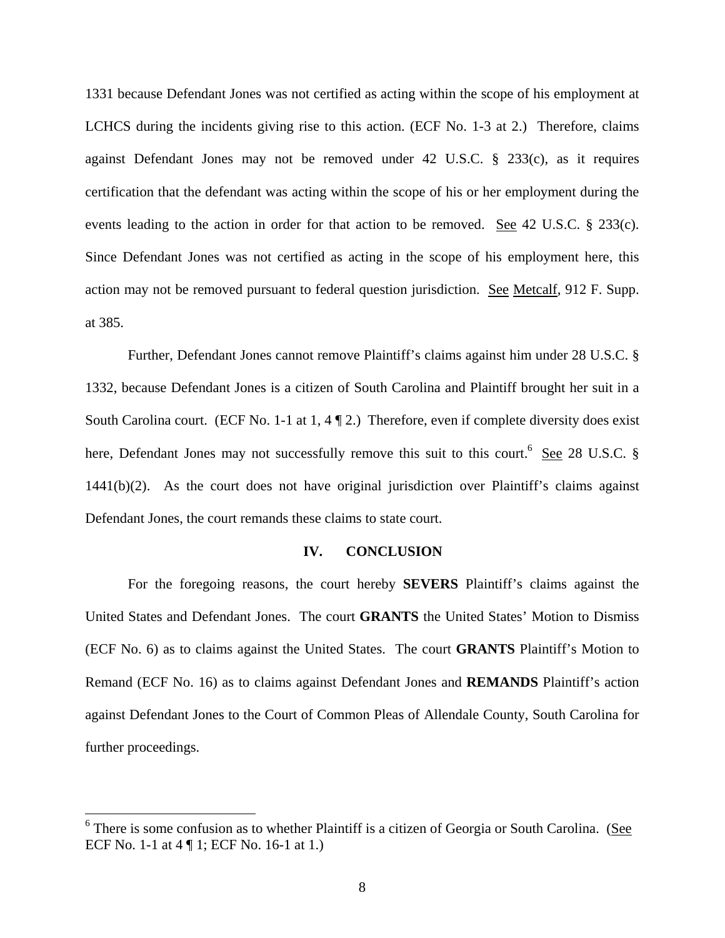1331 because Defendant Jones was not certified as acting within the scope of his employment at LCHCS during the incidents giving rise to this action. (ECF No. 1-3 at 2.) Therefore, claims against Defendant Jones may not be removed under 42 U.S.C. § 233(c), as it requires certification that the defendant was acting within the scope of his or her employment during the events leading to the action in order for that action to be removed. See 42 U.S.C. § 233(c). Since Defendant Jones was not certified as acting in the scope of his employment here, this action may not be removed pursuant to federal question jurisdiction. See Metcalf, 912 F. Supp. at 385.

Further, Defendant Jones cannot remove Plaintiff's claims against him under 28 U.S.C. § 1332, because Defendant Jones is a citizen of South Carolina and Plaintiff brought her suit in a South Carolina court. (ECF No. 1-1 at 1, 4 [2.) Therefore, even if complete diversity does exist here, Defendant Jones may not successfully remove this suit to this court.<sup>6</sup> See 28 U.S.C. § 1441(b)(2). As the court does not have original jurisdiction over Plaintiff's claims against Defendant Jones, the court remands these claims to state court.

# **IV. CONCLUSION**

For the foregoing reasons, the court hereby **SEVERS** Plaintiff's claims against the United States and Defendant Jones. The court **GRANTS** the United States' Motion to Dismiss (ECF No. 6) as to claims against the United States. The court **GRANTS** Plaintiff's Motion to Remand (ECF No. 16) as to claims against Defendant Jones and **REMANDS** Plaintiff's action against Defendant Jones to the Court of Common Pleas of Allendale County, South Carolina for further proceedings.

<sup>&</sup>lt;sup>6</sup> There is some confusion as to whether Plaintiff is a citizen of Georgia or South Carolina. (See ECF No. 1-1 at 4 ¶ 1; ECF No. 16-1 at 1.)